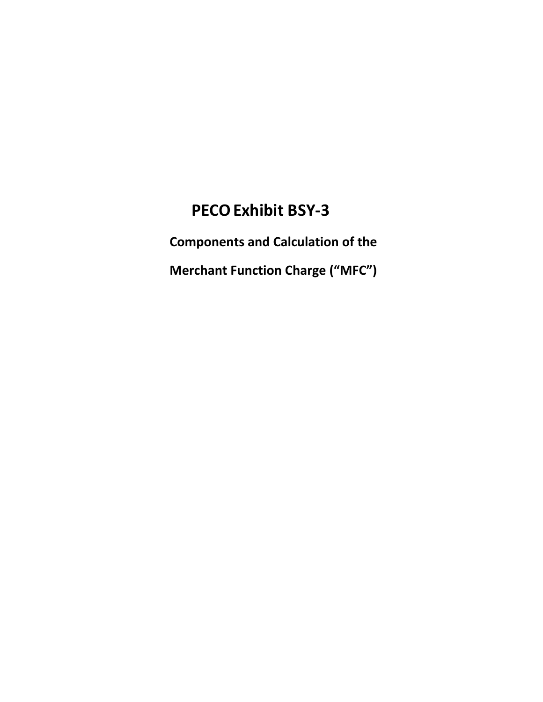# **PECO Exhibit BSY-3**

**Components and Calculation of the** 

**Merchant Function Charge ("MFC")**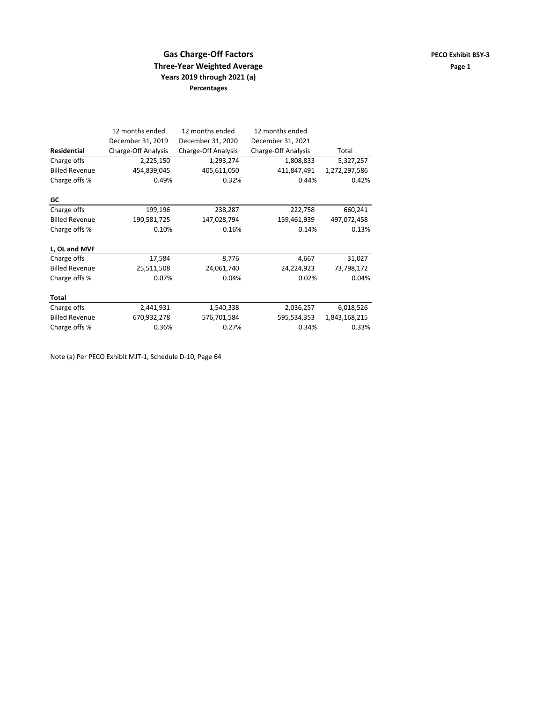## **Gas Charge-Off Factors PECO Exhibit BSY-3 Three-Year Weighted Average and Service Services and Page 1** Page 1 **Years 2019 through 2021 (a) Percentages**

|                       | 12 months ended     | 12 months ended     | 12 months ended     |               |  |
|-----------------------|---------------------|---------------------|---------------------|---------------|--|
|                       | December 31, 2019   | December 31, 2020   | December 31, 2021   |               |  |
| <b>Residential</b>    | Charge-Off Analysis | Charge-Off Analysis | Charge-Off Analysis | Total         |  |
| Charge offs           | 2,225,150           | 1,293,274           | 1,808,833           | 5,327,257     |  |
| <b>Billed Revenue</b> | 454,839,045         | 405,611,050         | 411,847,491         | 1,272,297,586 |  |
| Charge offs %         | 0.49%               | 0.32%               | 0.44%               | 0.42%         |  |
| GC                    |                     |                     |                     |               |  |
| Charge offs           | 199,196             | 238,287             | 222,758             | 660,241       |  |
| <b>Billed Revenue</b> | 190,581,725         | 147,028,794         | 159,461,939         | 497,072,458   |  |
| Charge offs %         | 0.10%               | 0.16%               | 0.14%               | 0.13%         |  |
| L, OL and MVF         |                     |                     |                     |               |  |
| Charge offs           | 17,584              | 8,776               | 4,667               | 31,027        |  |
| <b>Billed Revenue</b> | 25,511,508          | 24,061,740          | 24,224,923          | 73,798,172    |  |
| Charge offs %         | 0.07%               | 0.04%               | 0.02%               | 0.04%         |  |
| Total                 |                     |                     |                     |               |  |
| Charge offs           | 2,441,931           | 1,540,338           | 2,036,257           | 6,018,526     |  |
| <b>Billed Revenue</b> | 670,932,278         | 576,701,584         | 595,534,353         | 1,843,168,215 |  |
| Charge offs %         | 0.36%               | 0.27%               | 0.34%               | 0.33%         |  |

Note (a) Per PECO Exhibit MJT‐1, Schedule D‐10, Page 64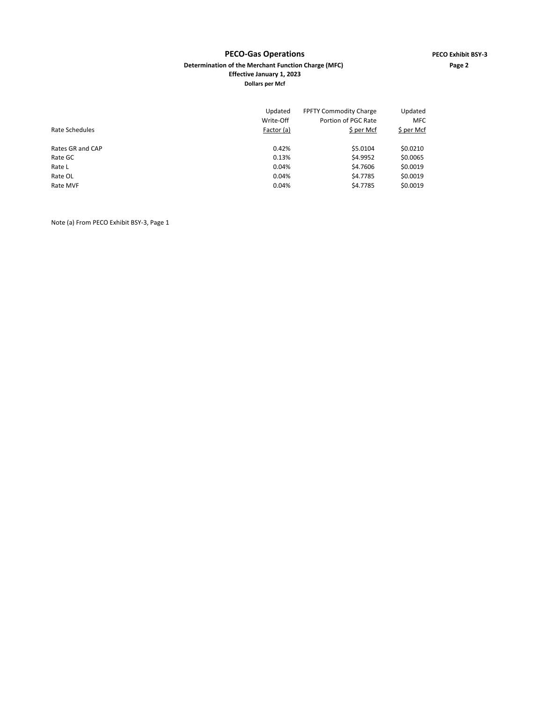### **PECO‐Gas Operations PECO Exhibit BSY‐3 Determination of the Merchant Function Charge (MFC) Page 2 Effective January 1, 2023 Dollars per Mcf**

| Rate Schedules   | Updated<br>Write-Off<br>Factor (a) | <b>FPFTY Commodity Charge</b><br>Portion of PGC Rate<br>\$ per Mcf | Updated<br><b>MFC</b><br>\$ per Mcf |
|------------------|------------------------------------|--------------------------------------------------------------------|-------------------------------------|
| Rates GR and CAP | 0.42%                              | \$5.0104                                                           | \$0.0210                            |
| Rate GC          | 0.13%                              | \$4.9952                                                           | \$0.0065                            |
| Rate L           | 0.04%                              | \$4.7606                                                           | \$0.0019                            |
| Rate OL          | 0.04%                              | \$4.7785                                                           | \$0.0019                            |
| Rate MVF         | 0.04%                              | \$4.7785                                                           | \$0.0019                            |

Note (a) From PECO Exhibit BSY‐3, Page 1